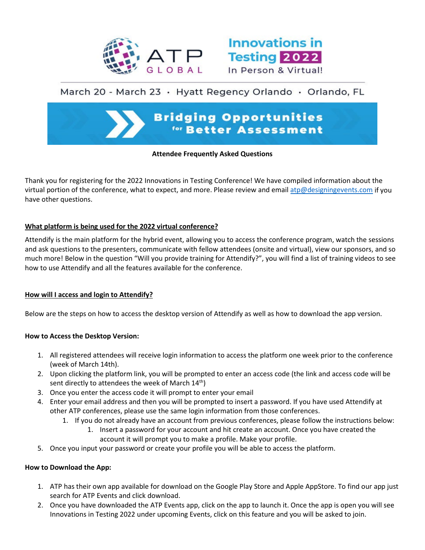



# March 20 - March 23 · Hyatt Regency Orlando · Orlando, FL

# **Bridging Opportunities** for Better Assessment

## **Attendee Frequently Asked Questions**

Thank you for registering for the 2022 Innovations in Testing Conference! We have compiled information about the virtual portion of the conference, what to expect, and more. Please review and email [atp@designingevents.com](mailto:atp@designingevents.com) if you have other questions.

## **What platform is being used for the 2022 virtual conference?**

Attendify is the main platform for the hybrid event, allowing you to access the conference program, watch the sessions and ask questions to the presenters, communicate with fellow attendees (onsite and virtual), view our sponsors, and so much more! Below in the question "Will you provide training for Attendify?", you will find a list of training videos to see how to use Attendify and all the features available for the conference.

#### **How will I access and login to Attendify?**

Below are the steps on how to access the desktop version of Attendify as well as how to download the app version.

#### **How to Access the Desktop Version:**

- 1. All registered attendees will receive login information to access the platform one week prior to the conference (week of March 14th).
- 2. Upon clicking the platform link, you will be prompted to enter an access code (the link and access code will be sent directly to attendees the week of March  $14<sup>th</sup>$ )
- 3. Once you enter the access code it will prompt to enter your email
- 4. Enter your email address and then you will be prompted to insert a password. If you have used Attendify at other ATP conferences, please use the same login information from those conferences.
	- 1. If you do not already have an account from previous conferences, please follow the instructions below:
		- 1. Insert a password for your account and hit create an account. Once you have created the account it will prompt you to make a profile. Make your profile.
- 5. Once you input your password or create your profile you will be able to access the platform.

#### **How to Download the App:**

- 1. ATP has their own app available for download on the Google Play Store and Apple AppStore. To find our app just search for ATP Events and click download.
- 2. Once you have downloaded the ATP Events app, click on the app to launch it. Once the app is open you will see Innovations in Testing 2022 under upcoming Events, click on this feature and you will be asked to join.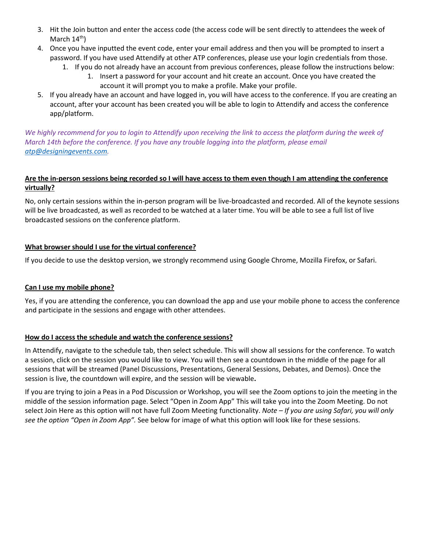- 3. Hit the Join button and enter the access code (the access code will be sent directly to attendees the week of March  $14<sup>th</sup>$ )
- 4. Once you have inputted the event code, enter your email address and then you will be prompted to insert a password. If you have used Attendify at other ATP conferences, please use your login credentials from those.
	- 1. If you do not already have an account from previous conferences, please follow the instructions below: 1. Insert a password for your account and hit create an account. Once you have created the account it will prompt you to make a profile. Make your profile.
- 5. If you already have an account and have logged in, you will have access to the conference. If you are creating an account, after your account has been created you will be able to login to Attendify and access the conference app/platform.

We highly recommend for you to login to Attendify upon receiving the link to access the platform during the week of *March 14th before the conference. If you have any trouble logging into the platform, please email [atp@designingevents.com.](mailto:atp@designingevents.com)* 

# **Are the in-person sessions being recorded so I will have access to them even though I am attending the conference virtually?**

No, only certain sessions within the in-person program will be live-broadcasted and recorded. All of the keynote sessions will be live broadcasted, as well as recorded to be watched at a later time. You will be able to see a full list of live broadcasted sessions on the conference platform.

# **What browser should I use for the virtual conference?**

If you decide to use the desktop version, we strongly recommend using Google Chrome, Mozilla Firefox, or Safari.

# **Can I use my mobile phone?**

Yes, if you are attending the conference, you can download the app and use your mobile phone to access the conference and participate in the sessions and engage with other attendees.

# **How do I access the schedule and watch the conference sessions?**

In Attendify, navigate to the schedule tab, then select schedule. This will show all sessions for the conference. To watch a session, click on the session you would like to view. You will then see a countdown in the middle of the page for all sessions that will be streamed (Panel Discussions, Presentations, General Sessions, Debates, and Demos). Once the session is live, the countdown will expire, and the session will be viewable**.**

If you are trying to join a Peas in a Pod Discussion or Workshop, you will see the Zoom options to join the meeting in the middle of the session information page. Select "Open in Zoom App" This will take you into the Zoom Meeting. Do not select Join Here as this option will not have full Zoom Meeting functionality. *Note – If you are using Safari, you will only see the option "Open in Zoom App".* See below for image of what this option will look like for these sessions.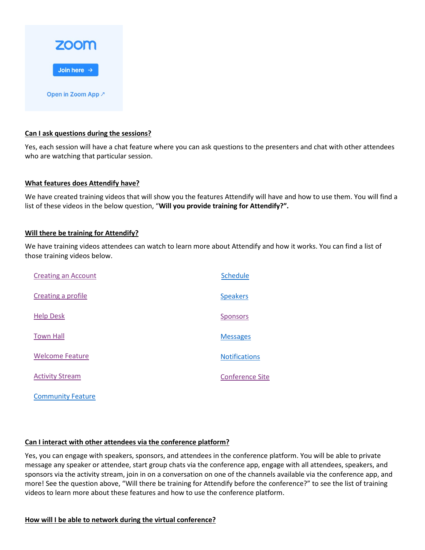

## **Can I ask questions during the sessions?**

Yes, each session will have a chat feature where you can ask questions to the presenters and chat with other attendees who are watching that particular session.

#### **What features does Attendify have?**

We have created training videos that will show you the features Attendify will have and how to use them. You will find a list of these videos in the below question, "**Will you provide training for Attendify?".** 

#### **Will there be training for Attendify?**

We have training videos attendees can watch to learn more about Attendify and how it works. You can find a list of those training videos below.

| <b>Creating an Account</b> | Schedule               |
|----------------------------|------------------------|
| Creating a profile         | <b>Speakers</b>        |
| <b>Help Desk</b>           | <b>Sponsors</b>        |
| <b>Town Hall</b>           | <b>Messages</b>        |
| <b>Welcome Feature</b>     | <b>Notifications</b>   |
| <b>Activity Stream</b>     | <b>Conference Site</b> |

 [Community Feature](http://innovationsintesting.org/video-attendee-community-feature.aspx)

#### **Can I interact with other attendees via the conference platform?**

Yes, you can engage with speakers, sponsors, and attendees in the conference platform. You will be able to private message any speaker or attendee, start group chats via the conference app, engage with all attendees, speakers, and sponsors via the activity stream, join in on a conversation on one of the channels available via the conference app, and more! See the question above, "Will there be training for Attendify before the conference?" to see the list of training videos to learn more about these features and how to use the conference platform.

#### **How will I be able to network during the virtual conference?**